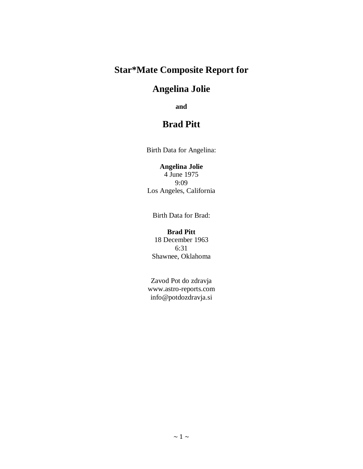# **Star\*Mate Composite Report for**

# **Angelina Jolie**

**and**

# **Brad Pitt**

Birth Data for Angelina:

# **Angelina Jolie**

4 June 1975 9:09 Los Angeles, California

Birth Data for Brad:

#### **Brad Pitt**

18 December 1963 6:31 Shawnee, Oklahoma

Zavod Pot do zdravja [www.astro-reports.com](file:///C:/SIRIUS30/SavedReports/www.astro-reports.com) info@potdozdravja.si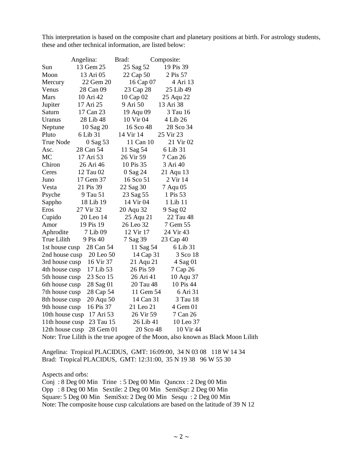This interpretation is based on the composite chart and planetary positions at birth. For astrology students, these and other technical information, are listed below:

|                 | Angelina: | Brad:     | Composite: |
|-----------------|-----------|-----------|------------|
| Sun             | 13 Gem 25 | 25 Sag 52 | 19 Pis 39  |
| Moon            | 13 Ari 05 | 22 Cap 50 | 2 Pis 57   |
| Mercury         | 22 Gem 20 | 16 Cap 07 | 4 Ari 13   |
| Venus           | 28 Can 09 | 23 Cap 28 | 25 Lib 49  |
| Mars            | 10 Ari 42 | 10 Cap 02 | 25 Aqu 22  |
| Jupiter         | 17 Ari 25 | 9 Ari 50  | 13 Ari 38  |
| Saturn          | 17 Can 23 | 19 Aqu 09 | 3 Tau 16   |
| Uranus          | 28 Lib 48 | 10 Vir 04 | 4 Lib 26   |
| Neptune         | 10 Sag 20 | 16 Sco 48 | 28 Sco 34  |
| Pluto           | 6 Lib 31  | 14 Vir 14 | 25 Vir 23  |
| True Node       | 0 Sag 53  | 11 Can 10 | 21 Vir 02  |
| Asc.            | 28 Can 54 | 11 Sag 54 | 6 Lib 31   |
| MC              | 17 Ari 53 | 26 Vir 59 | 7 Can 26   |
| Chiron          | 26 Ari 46 | 10 Pis 35 | 3 Ari 40   |
| Ceres           | 12 Tau 02 | 0 Sag 24  | 21 Aqu 13  |
| Juno            | 17 Gem 37 | 16 Sco 51 | 2 Vir 14   |
| Vesta           | 21 Pis 39 | 22 Sag 30 | 7 Aqu 05   |
| Psyche          | 9 Tau 51  | 23 Sag 55 | 1 Pis 53   |
| Sappho          | 18 Lib 19 | 14 Vir 04 | 1 Lib 11   |
| Eros            | 27 Vir 32 | 20 Aqu 32 | 9 Sag 02   |
| Cupido          | 20 Leo 14 | 25 Aqu 21 | 22 Tau 48  |
| Amor            | 19 Pis 19 | 26 Leo 32 | 7 Gem 55   |
| Aphrodite       | 7 Lib 09  | 12 Vir 17 | 24 Vir 43  |
| True Lilith     | 9 Pis 40  | 7 Sag 39  | 23 Cap 40  |
| 1st house cusp  | 28 Can 54 | 11 Sag 54 | 6 Lib 31   |
| 2nd house cusp  | 20 Leo 50 | 14 Cap 31 | 3 Sco 18   |
| 3rd house cusp  | 16 Vir 37 | 21 Aqu 21 | 4 Sag 01   |
| 4th house cusp  | 17 Lib 53 | 26 Pis 59 | 7 Cap 26   |
| 5th house cusp  | 23 Sco 15 | 26 Ari 41 | 10 Aqu 37  |
| 6th house cusp  | 28 Sag 01 | 20 Tau 48 | 10 Pis 44  |
| 7th house cusp  | 28 Cap 54 | 11 Gem 54 | 6 Ari 31   |
| 8th house cusp  | 20 Aqu 50 | 14 Can 31 | 3 Tau 18   |
| 9th house cusp  | 16 Pis 37 | 21 Leo 21 | 4 Gem 01   |
| 10th house cusp | 17 Ari 53 | 26 Vir 59 | 7 Can 26   |
| 11th house cusp | 23 Tau 15 | 26 Lib 41 | 10 Leo 37  |
| 12th house cusp | 28 Gem 01 | 20 Sco 48 | 10 Vir 44  |

Note: True Lilith is the true apogee of the Moon, also known as Black Moon Lilith

Angelina: Tropical PLACIDUS, GMT: 16:09:00, 34 N 03 08 118 W 14 34 Brad: Tropical PLACIDUS, GMT: 12:31:00, 35 N 19 38 96 W 55 30

Aspects and orbs:

Conj : 8 Deg 00 Min Trine : 5 Deg 00 Min Quncnx : 2 Deg 00 Min Opp : 8 Deg 00 Min Sextile: 2 Deg 00 Min SemiSqr: 2 Deg 00 Min Square: 5 Deg 00 Min SemiSxt: 2 Deg 00 Min Sesqu : 2 Deg 00 Min Note: The composite house cusp calculations are based on the latitude of 39 N 12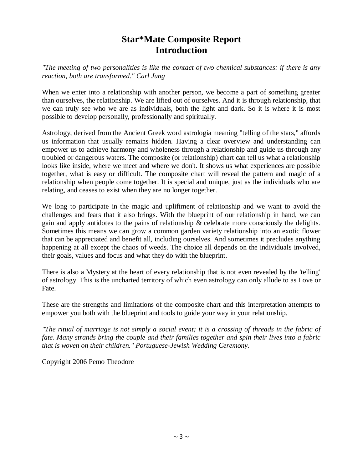# **Star\*Mate Composite Report Introduction**

*"The meeting of two personalities is like the contact of two chemical substances: if there is any reaction, both are transformed." Carl Jung*

When we enter into a relationship with another person, we become a part of something greater than ourselves, the relationship. We are lifted out of ourselves. And it is through relationship, that we can truly see who we are as individuals, both the light and dark. So it is where it is most possible to develop personally, professionally and spiritually.

Astrology, derived from the Ancient Greek word astrologia meaning "telling of the stars," affords us information that usually remains hidden. Having a clear overview and understanding can empower us to achieve harmony and wholeness through a relationship and guide us through any troubled or dangerous waters. The composite (or relationship) chart can tell us what a relationship looks like inside, where we meet and where we don't. It shows us what experiences are possible together, what is easy or difficult. The composite chart will reveal the pattern and magic of a relationship when people come together. It is special and unique, just as the individuals who are relating, and ceases to exist when they are no longer together.

We long to participate in the magic and upliftment of relationship and we want to avoid the challenges and fears that it also brings. With the blueprint of our relationship in hand, we can gain and apply antidotes to the pains of relationship & celebrate more consciously the delights. Sometimes this means we can grow a common garden variety relationship into an exotic flower that can be appreciated and benefit all, including ourselves. And sometimes it precludes anything happening at all except the chaos of weeds. The choice all depends on the individuals involved, their goals, values and focus and what they do with the blueprint.

There is also a Mystery at the heart of every relationship that is not even revealed by the 'telling' of astrology. This is the uncharted territory of which even astrology can only allude to as Love or Fate.

These are the strengths and limitations of the composite chart and this interpretation attempts to empower you both with the blueprint and tools to guide your way in your relationship.

*"The ritual of marriage is not simply a social event; it is a crossing of threads in the fabric of fate. Many strands bring the couple and their families together and spin their lives into a fabric that is woven on their children." Portuguese-Jewish Wedding Ceremony.*

Copyright 2006 Pemo Theodore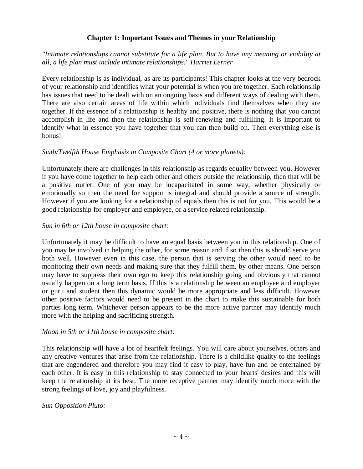## **Chapter 1: Important Issues and Themes in your Relationship**

## *"Intimate relationships cannot substitute for a life plan. But to have any meaning or viability at all, a life plan must include intimate relationships." Harriet Lerner*

Every relationship is as individual, as are its participants! This chapter looks at the very bedrock of your relationship and identifies what your potential is when you are together. Each relationship has issues that need to be dealt with on an ongoing basis and different ways of dealing with them. There are also certain areas of life within which individuals find themselves when they are together. If the essence of a relationship is healthy and positive, there is nothing that you cannot accomplish in life and then the relationship is self-renewing and fulfilling. It is important to identify what in essence you have together that you can then build on. Then everything else is bonus!

## *Sixth/Twelfth House Emphasis in Composite Chart (4 or more planets):*

Unfortunately there are challenges in this relationship as regards equality between you. However if you have come together to help each other and others outside the relationship, then that will be a positive outlet. One of you may be incapacitated in some way, whether physically or emotionally so then the need for support is integral and should provide a source of strength. However if you are looking for a relationship of equals then this is not for you. This would be a good relationship for employer and employee, or a service related relationship.

## *Sun in 6th or 12th house in composite chart:*

Unfortunately it may be difficult to have an equal basis between you in this relationship. One of you may be involved in helping the other, for some reason and if so then this is should serve you both well. However even in this case, the person that is serving the other would need to be monitoring their own needs and making sure that they fulfill them, by other means. One person may have to suppress their own ego to keep this relationship going and obviously that cannot usually happen on a long term basis. If this is a relationship between an employee and employer or guru and student then this dynamic would be more appropriate and less difficult. However other positive factors would need to be present in the chart to make this sustainable for both parties long term. Whichever person appears to be the more active partner may identify much more with the helping and sacrificing strength.

## *Moon in 5th or 11th house in composite chart:*

This relationship will have a lot of heartfelt feelings. You will care about yourselves, others and any creative ventures that arise from the relationship. There is a childlike quality to the feelings that are engendered and therefore you may find it easy to play, have fun and be entertained by each other. It is easy in this relationship to stay connected to your hearts' desires and this will keep the relationship at its best. The more receptive partner may identify much more with the strong feelings of love, joy and playfulness.

## *Sun Opposition Pluto:*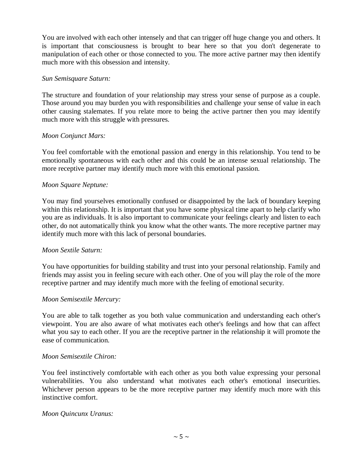You are involved with each other intensely and that can trigger off huge change you and others. It is important that consciousness is brought to bear here so that you don't degenerate to manipulation of each other or those connected to you. The more active partner may then identify much more with this obsession and intensity.

#### *Sun Semisquare Saturn:*

The structure and foundation of your relationship may stress your sense of purpose as a couple. Those around you may burden you with responsibilities and challenge your sense of value in each other causing stalemates. If you relate more to being the active partner then you may identify much more with this struggle with pressures.

#### *Moon Conjunct Mars:*

You feel comfortable with the emotional passion and energy in this relationship. You tend to be emotionally spontaneous with each other and this could be an intense sexual relationship. The more receptive partner may identify much more with this emotional passion.

#### *Moon Square Neptune:*

You may find yourselves emotionally confused or disappointed by the lack of boundary keeping within this relationship. It is important that you have some physical time apart to help clarify who you are as individuals. It is also important to communicate your feelings clearly and listen to each other, do not automatically think you know what the other wants. The more receptive partner may identify much more with this lack of personal boundaries.

#### *Moon Sextile Saturn:*

You have opportunities for building stability and trust into your personal relationship. Family and friends may assist you in feeling secure with each other. One of you will play the role of the more receptive partner and may identify much more with the feeling of emotional security.

#### *Moon Semisextile Mercury:*

You are able to talk together as you both value communication and understanding each other's viewpoint. You are also aware of what motivates each other's feelings and how that can affect what you say to each other. If you are the receptive partner in the relationship it will promote the ease of communication.

#### *Moon Semisextile Chiron:*

You feel instinctively comfortable with each other as you both value expressing your personal vulnerabilities. You also understand what motivates each other's emotional insecurities. Whichever person appears to be the more receptive partner may identify much more with this instinctive comfort.

#### *Moon Quincunx Uranus:*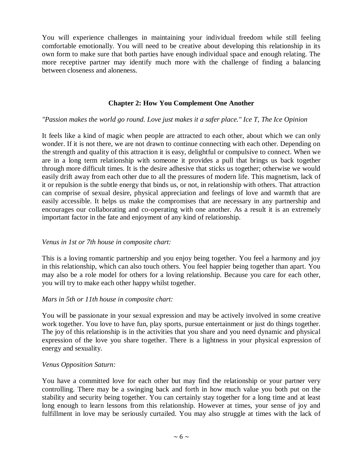You will experience challenges in maintaining your individual freedom while still feeling comfortable emotionally. You will need to be creative about developing this relationship in its own form to make sure that both parties have enough individual space and enough relating. The more receptive partner may identify much more with the challenge of finding a balancing between closeness and aloneness.

## **Chapter 2: How You Complement One Another**

#### *"Passion makes the world go round. Love just makes it a safer place." Ice T, The Ice Opinion*

It feels like a kind of magic when people are attracted to each other, about which we can only wonder. If it is not there, we are not drawn to continue connecting with each other. Depending on the strength and quality of this attraction it is easy, delightful or compulsive to connect. When we are in a long term relationship with someone it provides a pull that brings us back together through more difficult times. It is the desire adhesive that sticks us together; otherwise we would easily drift away from each other due to all the pressures of modern life. This magnetism, lack of it or repulsion is the subtle energy that binds us, or not, in relationship with others. That attraction can comprise of sexual desire, physical appreciation and feelings of love and warmth that are easily accessible. It helps us make the compromises that are necessary in any partnership and encourages our collaborating and co-operating with one another. As a result it is an extremely important factor in the fate and enjoyment of any kind of relationship.

#### *Venus in 1st or 7th house in composite chart:*

This is a loving romantic partnership and you enjoy being together. You feel a harmony and joy in this relationship, which can also touch others. You feel happier being together than apart. You may also be a role model for others for a loving relationship. Because you care for each other, you will try to make each other happy whilst together.

#### *Mars in 5th or 11th house in composite chart:*

You will be passionate in your sexual expression and may be actively involved in some creative work together. You love to have fun, play sports, pursue entertainment or just do things together. The joy of this relationship is in the activities that you share and you need dynamic and physical expression of the love you share together. There is a lightness in your physical expression of energy and sexuality.

#### *Venus Opposition Saturn:*

You have a committed love for each other but may find the relationship or your partner very controlling. There may be a swinging back and forth in how much value you both put on the stability and security being together. You can certainly stay together for a long time and at least long enough to learn lessons from this relationship. However at times, your sense of joy and fulfillment in love may be seriously curtailed. You may also struggle at times with the lack of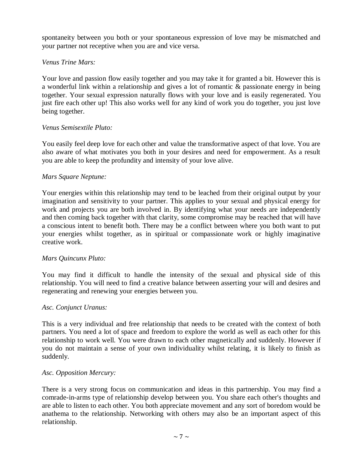spontaneity between you both or your spontaneous expression of love may be mismatched and your partner not receptive when you are and vice versa.

## *Venus Trine Mars:*

Your love and passion flow easily together and you may take it for granted a bit. However this is a wonderful link within a relationship and gives a lot of romantic & passionate energy in being together. Your sexual expression naturally flows with your love and is easily regenerated. You just fire each other up! This also works well for any kind of work you do together, you just love being together.

## *Venus Semisextile Pluto:*

You easily feel deep love for each other and value the transformative aspect of that love. You are also aware of what motivates you both in your desires and need for empowerment. As a result you are able to keep the profundity and intensity of your love alive.

## *Mars Square Neptune:*

Your energies within this relationship may tend to be leached from their original output by your imagination and sensitivity to your partner. This applies to your sexual and physical energy for work and projects you are both involved in. By identifying what your needs are independently and then coming back together with that clarity, some compromise may be reached that will have a conscious intent to benefit both. There may be a conflict between where you both want to put your energies whilst together, as in spiritual or compassionate work or highly imaginative creative work.

#### *Mars Quincunx Pluto:*

You may find it difficult to handle the intensity of the sexual and physical side of this relationship. You will need to find a creative balance between asserting your will and desires and regenerating and renewing your energies between you.

#### *Asc. Conjunct Uranus:*

This is a very individual and free relationship that needs to be created with the context of both partners. You need a lot of space and freedom to explore the world as well as each other for this relationship to work well. You were drawn to each other magnetically and suddenly. However if you do not maintain a sense of your own individuality whilst relating, it is likely to finish as suddenly.

#### *Asc. Opposition Mercury:*

There is a very strong focus on communication and ideas in this partnership. You may find a comrade-in-arms type of relationship develop between you. You share each other's thoughts and are able to listen to each other. You both appreciate movement and any sort of boredom would be anathema to the relationship. Networking with others may also be an important aspect of this relationship.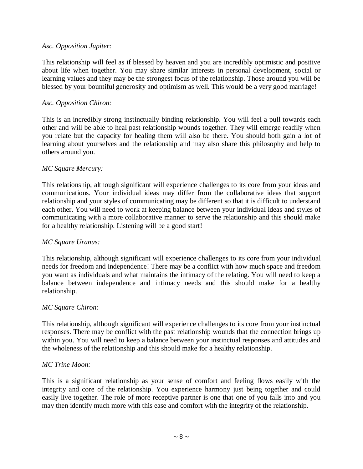#### *Asc. Opposition Jupiter:*

This relationship will feel as if blessed by heaven and you are incredibly optimistic and positive about life when together. You may share similar interests in personal development, social or learning values and they may be the strongest focus of the relationship. Those around you will be blessed by your bountiful generosity and optimism as well. This would be a very good marriage!

## *Asc. Opposition Chiron:*

This is an incredibly strong instinctually binding relationship. You will feel a pull towards each other and will be able to heal past relationship wounds together. They will emerge readily when you relate but the capacity for healing them will also be there. You should both gain a lot of learning about yourselves and the relationship and may also share this philosophy and help to others around you.

## *MC Square Mercury:*

This relationship, although significant will experience challenges to its core from your ideas and communications. Your individual ideas may differ from the collaborative ideas that support relationship and your styles of communicating may be different so that it is difficult to understand each other. You will need to work at keeping balance between your individual ideas and styles of communicating with a more collaborative manner to serve the relationship and this should make for a healthy relationship. Listening will be a good start!

## *MC Square Uranus:*

This relationship, although significant will experience challenges to its core from your individual needs for freedom and independence! There may be a conflict with how much space and freedom you want as individuals and what maintains the intimacy of the relating. You will need to keep a balance between independence and intimacy needs and this should make for a healthy relationship.

#### *MC Square Chiron:*

This relationship, although significant will experience challenges to its core from your instinctual responses. There may be conflict with the past relationship wounds that the connection brings up within you. You will need to keep a balance between your instinctual responses and attitudes and the wholeness of the relationship and this should make for a healthy relationship.

#### *MC Trine Moon:*

This is a significant relationship as your sense of comfort and feeling flows easily with the integrity and core of the relationship. You experience harmony just being together and could easily live together. The role of more receptive partner is one that one of you falls into and you may then identify much more with this ease and comfort with the integrity of the relationship.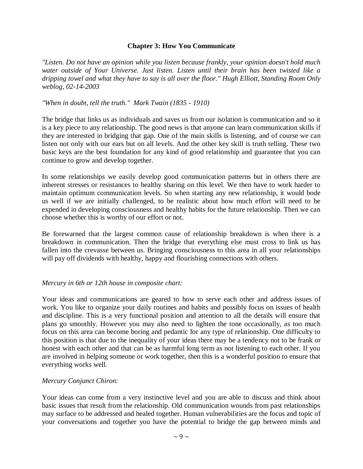#### **Chapter 3: How You Communicate**

*"Listen. Do not have an opinion while you listen because frankly, your opinion doesn't hold much water outside of Your Universe. Just listen. Listen until their brain has been twisted like a dripping towel and what they have to say is all over the floor." Hugh Elliott, Standing Room Only weblog, 02-14-2003*

#### *"When in doubt, tell the truth." Mark Twain (1835 - 1910)*

The bridge that links us as individuals and saves us from our isolation is communication and so it is a key piece to any relationship. The good news is that anyone can learn communication skills if they are interested in bridging that gap. One of the main skills is listening, and of course we can listen not only with our ears but on all levels. And the other key skill is truth telling. These two basic keys are the best foundation for any kind of good relationship and guarantee that you can continue to grow and develop together.

In some relationships we easily develop good communication patterns but in others there are inherent stresses or resistances to healthy sharing on this level. We then have to work harder to maintain optimum communication levels. So when starting any new relationship, it would bode us well if we are initially challenged, to be realistic about how much effort will need to be expended in developing consciousness and healthy habits for the future relationship. Then we can choose whether this is worthy of our effort or not.

Be forewarned that the largest common cause of relationship breakdown is when there is a breakdown in communication. Then the bridge that everything else must cross to link us has fallen into the crevasse between us. Bringing consciousness to this area in all your relationships will pay off dividends with healthy, happy and flourishing connections with others.

#### *Mercury in 6th or 12th house in composite chart:*

Your ideas and communications are geared to how to serve each other and address issues of work. You like to organize your daily routines and habits and possibly focus on issues of health and discipline. This is a very functional position and attention to all the details will ensure that plans go smoothly. However you may also need to lighten the tone occasionally, as too much focus on this area can become boring and pedantic for any type of relationship. One difficulty to this position is that due to the inequality of your ideas there may be a tendency not to be frank or honest with each other and that can be as harmful long term as not listening to each other. If you are involved in helping someone or work together, then this is a wonderful position to ensure that everything works well.

#### *Mercury Conjunct Chiron:*

Your ideas can come from a very instinctive level and you are able to discuss and think about basic issues that result from the relationship. Old communication wounds from past relationships may surface to be addressed and healed together. Human vulnerabilities are the focus and topic of your conversations and together you have the potential to bridge the gap between minds and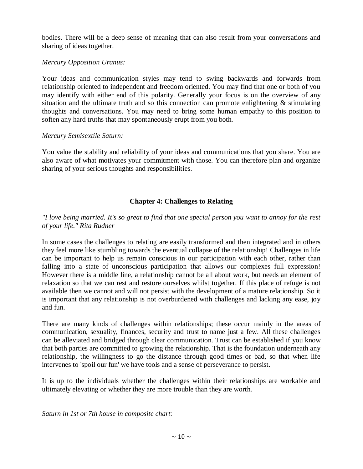bodies. There will be a deep sense of meaning that can also result from your conversations and sharing of ideas together.

## *Mercury Opposition Uranus:*

Your ideas and communication styles may tend to swing backwards and forwards from relationship oriented to independent and freedom oriented. You may find that one or both of you may identify with either end of this polarity. Generally your focus is on the overview of any situation and the ultimate truth and so this connection can promote enlightening & stimulating thoughts and conversations. You may need to bring some human empathy to this position to soften any hard truths that may spontaneously erupt from you both.

# *Mercury Semisextile Saturn:*

You value the stability and reliability of your ideas and communications that you share. You are also aware of what motivates your commitment with those. You can therefore plan and organize sharing of your serious thoughts and responsibilities.

# **Chapter 4: Challenges to Relating**

## *"I love being married. It's so great to find that one special person you want to annoy for the rest of your life." Rita Rudner*

In some cases the challenges to relating are easily transformed and then integrated and in others they feel more like stumbling towards the eventual collapse of the relationship! Challenges in life can be important to help us remain conscious in our participation with each other, rather than falling into a state of unconscious participation that allows our complexes full expression! However there is a middle line, a relationship cannot be all about work, but needs an element of relaxation so that we can rest and restore ourselves whilst together. If this place of refuge is not available then we cannot and will not persist with the development of a mature relationship. So it is important that any relationship is not overburdened with challenges and lacking any ease, joy and fun.

There are many kinds of challenges within relationships; these occur mainly in the areas of communication, sexuality, finances, security and trust to name just a few. All these challenges can be alleviated and bridged through clear communication. Trust can be established if you know that both parties are committed to growing the relationship. That is the foundation underneath any relationship, the willingness to go the distance through good times or bad, so that when life intervenes to 'spoil our fun' we have tools and a sense of perseverance to persist.

It is up to the individuals whether the challenges within their relationships are workable and ultimately elevating or whether they are more trouble than they are worth.

*Saturn in 1st or 7th house in composite chart:*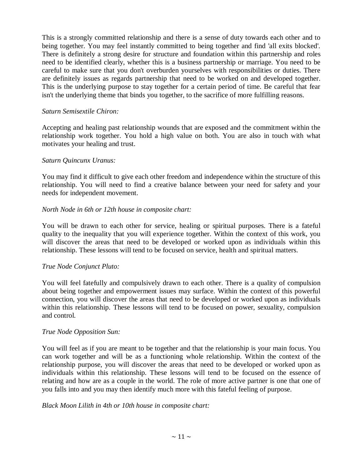This is a strongly committed relationship and there is a sense of duty towards each other and to being together. You may feel instantly committed to being together and find 'all exits blocked'. There is definitely a strong desire for structure and foundation within this partnership and roles need to be identified clearly, whether this is a business partnership or marriage. You need to be careful to make sure that you don't overburden yourselves with responsibilities or duties. There are definitely issues as regards partnership that need to be worked on and developed together. This is the underlying purpose to stay together for a certain period of time. Be careful that fear isn't the underlying theme that binds you together, to the sacrifice of more fulfilling reasons.

## *Saturn Semisextile Chiron:*

Accepting and healing past relationship wounds that are exposed and the commitment within the relationship work together. You hold a high value on both. You are also in touch with what motivates your healing and trust.

## *Saturn Quincunx Uranus:*

You may find it difficult to give each other freedom and independence within the structure of this relationship. You will need to find a creative balance between your need for safety and your needs for independent movement.

## *North Node in 6th or 12th house in composite chart:*

You will be drawn to each other for service, healing or spiritual purposes. There is a fateful quality to the inequality that you will experience together. Within the context of this work, you will discover the areas that need to be developed or worked upon as individuals within this relationship. These lessons will tend to be focused on service, health and spiritual matters.

#### *True Node Conjunct Pluto:*

You will feel fatefully and compulsively drawn to each other. There is a quality of compulsion about being together and empowerment issues may surface. Within the context of this powerful connection, you will discover the areas that need to be developed or worked upon as individuals within this relationship. These lessons will tend to be focused on power, sexuality, compulsion and control.

## *True Node Opposition Sun:*

You will feel as if you are meant to be together and that the relationship is your main focus. You can work together and will be as a functioning whole relationship. Within the context of the relationship purpose, you will discover the areas that need to be developed or worked upon as individuals within this relationship. These lessons will tend to be focused on the essence of relating and how are as a couple in the world. The role of more active partner is one that one of you falls into and you may then identify much more with this fateful feeling of purpose.

#### *Black Moon Lilith in 4th or 10th house in composite chart:*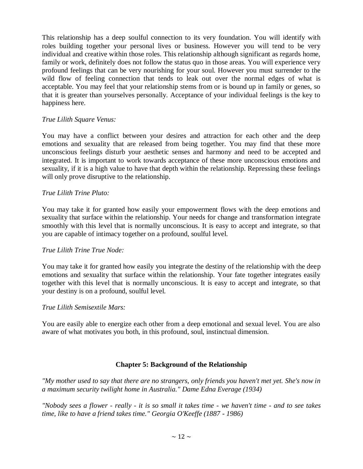This relationship has a deep soulful connection to its very foundation. You will identify with roles building together your personal lives or business. However you will tend to be very individual and creative within those roles. This relationship although significant as regards home, family or work, definitely does not follow the status quo in those areas. You will experience very profound feelings that can be very nourishing for your soul. However you must surrender to the wild flow of feeling connection that tends to leak out over the normal edges of what is acceptable. You may feel that your relationship stems from or is bound up in family or genes, so that it is greater than yourselves personally. Acceptance of your individual feelings is the key to happiness here.

## *True Lilith Square Venus:*

You may have a conflict between your desires and attraction for each other and the deep emotions and sexuality that are released from being together. You may find that these more unconscious feelings disturb your aesthetic senses and harmony and need to be accepted and integrated. It is important to work towards acceptance of these more unconscious emotions and sexuality, if it is a high value to have that depth within the relationship. Repressing these feelings will only prove disruptive to the relationship.

## *True Lilith Trine Pluto:*

You may take it for granted how easily your empowerment flows with the deep emotions and sexuality that surface within the relationship. Your needs for change and transformation integrate smoothly with this level that is normally unconscious. It is easy to accept and integrate, so that you are capable of intimacy together on a profound, soulful level.

#### *True Lilith Trine True Node:*

You may take it for granted how easily you integrate the destiny of the relationship with the deep emotions and sexuality that surface within the relationship. Your fate together integrates easily together with this level that is normally unconscious. It is easy to accept and integrate, so that your destiny is on a profound, soulful level.

#### *True Lilith Semisextile Mars:*

You are easily able to energize each other from a deep emotional and sexual level. You are also aware of what motivates you both, in this profound, soul, instinctual dimension.

## **Chapter 5: Background of the Relationship**

*"My mother used to say that there are no strangers, only friends you haven't met yet. She's now in a maximum security twilight home in Australia." Dame Edna Everage (1934)*

*"Nobody sees a flower - really - it is so small it takes time - we haven't time - and to see takes time, like to have a friend takes time." Georgia O'Keeffe (1887 - 1986)*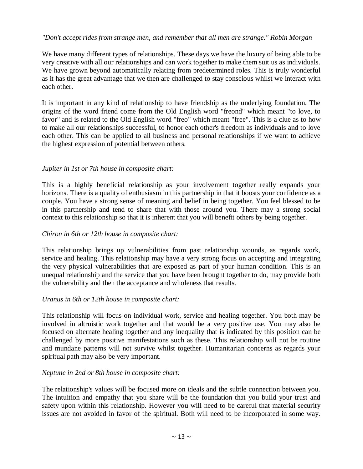## *"Don't accept rides from strange men, and remember that all men are strange." Robin Morgan*

We have many different types of relationships. These days we have the luxury of being able to be very creative with all our relationships and can work together to make them suit us as individuals. We have grown beyond automatically relating from predetermined roles. This is truly wonderful as it has the great advantage that we then are challenged to stay conscious whilst we interact with each other.

It is important in any kind of relationship to have friendship as the underlying foundation. The origins of the word friend come from the Old English word "freond" which meant "to love, to favor" and is related to the Old English word "freo" which meant "free". This is a clue as to how to make all our relationships successful, to honor each other's freedom as individuals and to love each other. This can be applied to all business and personal relationships if we want to achieve the highest expression of potential between others.

## *Jupiter in 1st or 7th house in composite chart:*

This is a highly beneficial relationship as your involvement together really expands your horizons. There is a quality of enthusiasm in this partnership in that it boosts your confidence as a couple. You have a strong sense of meaning and belief in being together. You feel blessed to be in this partnership and tend to share that with those around you. There may a strong social context to this relationship so that it is inherent that you will benefit others by being together.

#### *Chiron in 6th or 12th house in composite chart:*

This relationship brings up vulnerabilities from past relationship wounds, as regards work, service and healing. This relationship may have a very strong focus on accepting and integrating the very physical vulnerabilities that are exposed as part of your human condition. This is an unequal relationship and the service that you have been brought together to do, may provide both the vulnerability and then the acceptance and wholeness that results.

#### *Uranus in 6th or 12th house in composite chart:*

This relationship will focus on individual work, service and healing together. You both may be involved in altruistic work together and that would be a very positive use. You may also be focused on alternate healing together and any inequality that is indicated by this position can be challenged by more positive manifestations such as these. This relationship will not be routine and mundane patterns will not survive whilst together. Humanitarian concerns as regards your spiritual path may also be very important.

## *Neptune in 2nd or 8th house in composite chart:*

The relationship's values will be focused more on ideals and the subtle connection between you. The intuition and empathy that you share will be the foundation that you build your trust and safety upon within this relationship. However you will need to be careful that material security issues are not avoided in favor of the spiritual. Both will need to be incorporated in some way.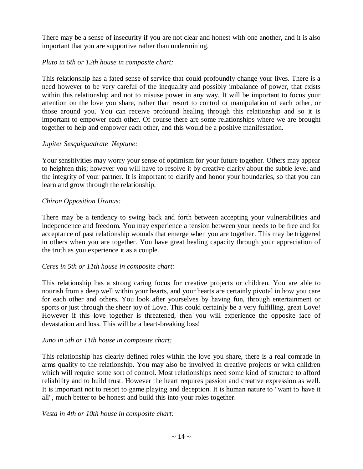There may be a sense of insecurity if you are not clear and honest with one another, and it is also important that you are supportive rather than undermining.

## *Pluto in 6th or 12th house in composite chart:*

This relationship has a fated sense of service that could profoundly change your lives. There is a need however to be very careful of the inequality and possibly imbalance of power, that exists within this relationship and not to misuse power in any way. It will be important to focus your attention on the love you share, rather than resort to control or manipulation of each other, or those around you. You can receive profound healing through this relationship and so it is important to empower each other. Of course there are some relationships where we are brought together to help and empower each other, and this would be a positive manifestation.

## *Jupiter Sesquiquadrate Neptune:*

Your sensitivities may worry your sense of optimism for your future together. Others may appear to heighten this; however you will have to resolve it by creative clarity about the subtle level and the integrity of your partner. It is important to clarify and honor your boundaries, so that you can learn and grow through the relationship.

## *Chiron Opposition Uranus:*

There may be a tendency to swing back and forth between accepting your vulnerabilities and independence and freedom. You may experience a tension between your needs to be free and for acceptance of past relationship wounds that emerge when you are together. This may be triggered in others when you are together. You have great healing capacity through your appreciation of the truth as you experience it as a couple.

#### *Ceres in 5th or 11th house in composite chart:*

This relationship has a strong caring focus for creative projects or children. You are able to nourish from a deep well within your hearts, and your hearts are certainly pivotal in how you care for each other and others. You look after yourselves by having fun, through entertainment or sports or just through the sheer joy of Love. This could certainly be a very fulfilling, great Love! However if this love together is threatened, then you will experience the opposite face of devastation and loss. This will be a heart-breaking loss!

#### *Juno in 5th or 11th house in composite chart:*

This relationship has clearly defined roles within the love you share, there is a real comrade in arms quality to the relationship. You may also be involved in creative projects or with children which will require some sort of control. Most relationships need some kind of structure to afford reliability and to build trust. However the heart requires passion and creative expression as well. It is important not to resort to game playing and deception. It is human nature to "want to have it all", much better to be honest and build this into your roles together.

#### *Vesta in 4th or 10th house in composite chart:*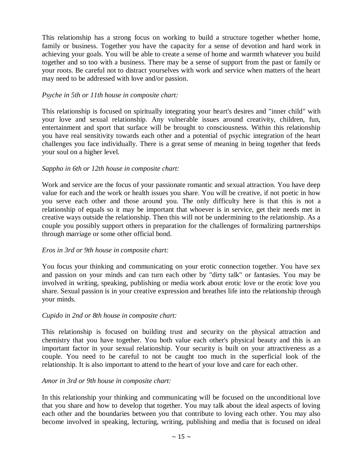This relationship has a strong focus on working to build a structure together whether home, family or business. Together you have the capacity for a sense of devotion and hard work in achieving your goals. You will be able to create a sense of home and warmth whatever you build together and so too with a business. There may be a sense of support from the past or family or your roots. Be careful not to distract yourselves with work and service when matters of the heart may need to be addressed with love and/or passion.

## *Psyche in 5th or 11th house in composite chart:*

This relationship is focused on spiritually integrating your heart's desires and "inner child" with your love and sexual relationship. Any vulnerable issues around creativity, children, fun, entertainment and sport that surface will be brought to consciousness. Within this relationship you have real sensitivity towards each other and a potential of psychic integration of the heart challenges you face individually. There is a great sense of meaning in being together that feeds your soul on a higher level.

## *Sappho in 6th or 12th house in composite chart:*

Work and service are the focus of your passionate romantic and sexual attraction. You have deep value for each and the work or health issues you share. You will be creative, if not poetic in how you serve each other and those around you. The only difficulty here is that this is not a relationship of equals so it may be important that whoever is in service, get their needs met in creative ways outside the relationship. Then this will not be undermining to the relationship. As a couple you possibly support others in preparation for the challenges of formalizing partnerships through marriage or some other official bond.

## *Eros in 3rd or 9th house in composite chart:*

You focus your thinking and communicating on your erotic connection together. You have sex and passion on your minds and can turn each other by "dirty talk" or fantasies. You may be involved in writing, speaking, publishing or media work about erotic love or the erotic love you share. Sexual passion is in your creative expression and breathes life into the relationship through your minds.

#### *Cupido in 2nd or 8th house in composite chart:*

This relationship is focused on building trust and security on the physical attraction and chemistry that you have together. You both value each other's physical beauty and this is an important factor in your sexual relationship. Your security is built on your attractiveness as a couple. You need to be careful to not be caught too much in the superficial look of the relationship. It is also important to attend to the heart of your love and care for each other.

#### *Amor in 3rd or 9th house in composite chart:*

In this relationship your thinking and communicating will be focused on the unconditional love that you share and how to develop that together. You may talk about the ideal aspects of loving each other and the boundaries between you that contribute to loving each other. You may also become involved in speaking, lecturing, writing, publishing and media that is focused on ideal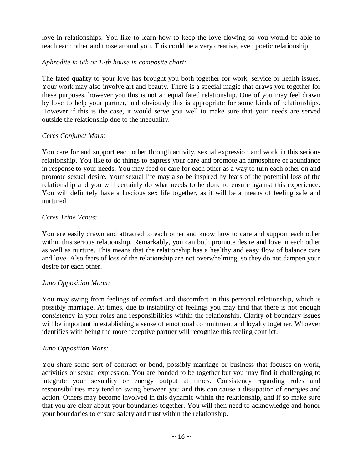love in relationships. You like to learn how to keep the love flowing so you would be able to teach each other and those around you. This could be a very creative, even poetic relationship.

## *Aphrodite in 6th or 12th house in composite chart:*

The fated quality to your love has brought you both together for work, service or health issues. Your work may also involve art and beauty. There is a special magic that draws you together for these purposes, however you this is not an equal fated relationship. One of you may feel drawn by love to help your partner, and obviously this is appropriate for some kinds of relationships. However if this is the case, it would serve you well to make sure that your needs are served outside the relationship due to the inequality.

# *Ceres Conjunct Mars:*

You care for and support each other through activity, sexual expression and work in this serious relationship. You like to do things to express your care and promote an atmosphere of abundance in response to your needs. You may feed or care for each other as a way to turn each other on and promote sexual desire. Your sexual life may also be inspired by fears of the potential loss of the relationship and you will certainly do what needs to be done to ensure against this experience. You will definitely have a luscious sex life together, as it will be a means of feeling safe and nurtured.

# *Ceres Trine Venus:*

You are easily drawn and attracted to each other and know how to care and support each other within this serious relationship. Remarkably, you can both promote desire and love in each other as well as nurture. This means that the relationship has a healthy and easy flow of balance care and love. Also fears of loss of the relationship are not overwhelming, so they do not dampen your desire for each other.

## *Juno Opposition Moon:*

You may swing from feelings of comfort and discomfort in this personal relationship, which is possibly marriage. At times, due to instability of feelings you may find that there is not enough consistency in your roles and responsibilities within the relationship. Clarity of boundary issues will be important in establishing a sense of emotional commitment and loyalty together. Whoever identifies with being the more receptive partner will recognize this feeling conflict.

## *Juno Opposition Mars:*

You share some sort of contract or bond, possibly marriage or business that focuses on work, activities or sexual expression. You are bonded to be together but you may find it challenging to integrate your sexuality or energy output at times. Consistency regarding roles and responsibilities may tend to swing between you and this can cause a dissipation of energies and action. Others may become involved in this dynamic within the relationship, and if so make sure that you are clear about your boundaries together. You will then need to acknowledge and honor your boundaries to ensure safety and trust within the relationship.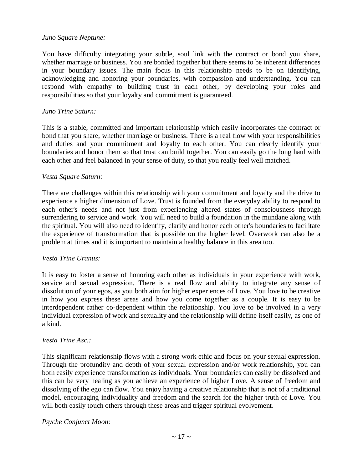#### *Juno Square Neptune:*

You have difficulty integrating your subtle, soul link with the contract or bond you share, whether marriage or business. You are bonded together but there seems to be inherent differences in your boundary issues. The main focus in this relationship needs to be on identifying, acknowledging and honoring your boundaries, with compassion and understanding. You can respond with empathy to building trust in each other, by developing your roles and responsibilities so that your loyalty and commitment is guaranteed.

#### *Juno Trine Saturn:*

This is a stable, committed and important relationship which easily incorporates the contract or bond that you share, whether marriage or business. There is a real flow with your responsibilities and duties and your commitment and loyalty to each other. You can clearly identify your boundaries and honor them so that trust can build together. You can easily go the long haul with each other and feel balanced in your sense of duty, so that you really feel well matched.

#### *Vesta Square Saturn:*

There are challenges within this relationship with your commitment and loyalty and the drive to experience a higher dimension of Love. Trust is founded from the everyday ability to respond to each other's needs and not just from experiencing altered states of consciousness through surrendering to service and work. You will need to build a foundation in the mundane along with the spiritual. You will also need to identify, clarify and honor each other's boundaries to facilitate the experience of transformation that is possible on the higher level. Overwork can also be a problem at times and it is important to maintain a healthy balance in this area too.

#### *Vesta Trine Uranus:*

It is easy to foster a sense of honoring each other as individuals in your experience with work, service and sexual expression. There is a real flow and ability to integrate any sense of dissolution of your egos, as you both aim for higher experiences of Love. You love to be creative in how you express these areas and how you come together as a couple. It is easy to be interdependent rather co-dependent within the relationship. You love to be involved in a very individual expression of work and sexuality and the relationship will define itself easily, as one of a kind.

#### *Vesta Trine Asc.:*

This significant relationship flows with a strong work ethic and focus on your sexual expression. Through the profundity and depth of your sexual expression and/or work relationship, you can both easily experience transformation as individuals. Your boundaries can easily be dissolved and this can be very healing as you achieve an experience of higher Love. A sense of freedom and dissolving of the ego can flow. You enjoy having a creative relationship that is not of a traditional model, encouraging individuality and freedom and the search for the higher truth of Love. You will both easily touch others through these areas and trigger spiritual evolvement.

#### *Psyche Conjunct Moon:*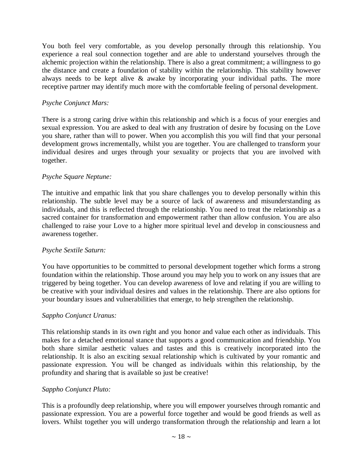You both feel very comfortable, as you develop personally through this relationship. You experience a real soul connection together and are able to understand yourselves through the alchemic projection within the relationship. There is also a great commitment; a willingness to go the distance and create a foundation of stability within the relationship. This stability however always needs to be kept alive & awake by incorporating your individual paths. The more receptive partner may identify much more with the comfortable feeling of personal development.

## *Psyche Conjunct Mars:*

There is a strong caring drive within this relationship and which is a focus of your energies and sexual expression. You are asked to deal with any frustration of desire by focusing on the Love you share, rather than will to power. When you accomplish this you will find that your personal development grows incrementally, whilst you are together. You are challenged to transform your individual desires and urges through your sexuality or projects that you are involved with together.

## *Psyche Square Neptune:*

The intuitive and empathic link that you share challenges you to develop personally within this relationship. The subtle level may be a source of lack of awareness and misunderstanding as individuals, and this is reflected through the relationship. You need to treat the relationship as a sacred container for transformation and empowerment rather than allow confusion. You are also challenged to raise your Love to a higher more spiritual level and develop in consciousness and awareness together.

#### *Psyche Sextile Saturn:*

You have opportunities to be committed to personal development together which forms a strong foundation within the relationship. Those around you may help you to work on any issues that are triggered by being together. You can develop awareness of love and relating if you are willing to be creative with your individual desires and values in the relationship. There are also options for your boundary issues and vulnerabilities that emerge, to help strengthen the relationship.

#### *Sappho Conjunct Uranus:*

This relationship stands in its own right and you honor and value each other as individuals. This makes for a detached emotional stance that supports a good communication and friendship. You both share similar aesthetic values and tastes and this is creatively incorporated into the relationship. It is also an exciting sexual relationship which is cultivated by your romantic and passionate expression. You will be changed as individuals within this relationship, by the profundity and sharing that is available so just be creative!

#### *Sappho Conjunct Pluto:*

This is a profoundly deep relationship, where you will empower yourselves through romantic and passionate expression. You are a powerful force together and would be good friends as well as lovers. Whilst together you will undergo transformation through the relationship and learn a lot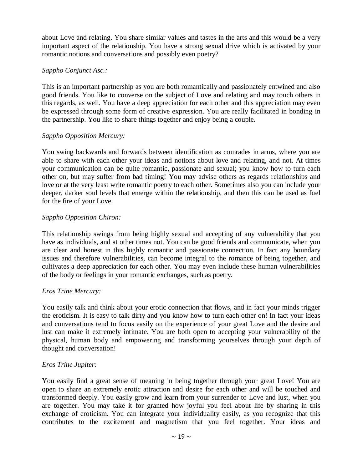about Love and relating. You share similar values and tastes in the arts and this would be a very important aspect of the relationship. You have a strong sexual drive which is activated by your romantic notions and conversations and possibly even poetry?

## *Sappho Conjunct Asc.:*

This is an important partnership as you are both romantically and passionately entwined and also good friends. You like to converse on the subject of Love and relating and may touch others in this regards, as well. You have a deep appreciation for each other and this appreciation may even be expressed through some form of creative expression. You are really facilitated in bonding in the partnership. You like to share things together and enjoy being a couple.

# *Sappho Opposition Mercury:*

You swing backwards and forwards between identification as comrades in arms, where you are able to share with each other your ideas and notions about love and relating, and not. At times your communication can be quite romantic, passionate and sexual; you know how to turn each other on, but may suffer from bad timing! You may advise others as regards relationships and love or at the very least write romantic poetry to each other. Sometimes also you can include your deeper, darker soul levels that emerge within the relationship, and then this can be used as fuel for the fire of your Love.

# *Sappho Opposition Chiron:*

This relationship swings from being highly sexual and accepting of any vulnerability that you have as individuals, and at other times not. You can be good friends and communicate, when you are clear and honest in this highly romantic and passionate connection. In fact any boundary issues and therefore vulnerabilities, can become integral to the romance of being together, and cultivates a deep appreciation for each other. You may even include these human vulnerabilities of the body or feelings in your romantic exchanges, such as poetry.

# *Eros Trine Mercury:*

You easily talk and think about your erotic connection that flows, and in fact your minds trigger the eroticism. It is easy to talk dirty and you know how to turn each other on! In fact your ideas and conversations tend to focus easily on the experience of your great Love and the desire and lust can make it extremely intimate. You are both open to accepting your vulnerability of the physical, human body and empowering and transforming yourselves through your depth of thought and conversation!

# *Eros Trine Jupiter:*

You easily find a great sense of meaning in being together through your great Love! You are open to share an extremely erotic attraction and desire for each other and will be touched and transformed deeply. You easily grow and learn from your surrender to Love and lust, when you are together. You may take it for granted how joyful you feel about life by sharing in this exchange of eroticism. You can integrate your individuality easily, as you recognize that this contributes to the excitement and magnetism that you feel together. Your ideas and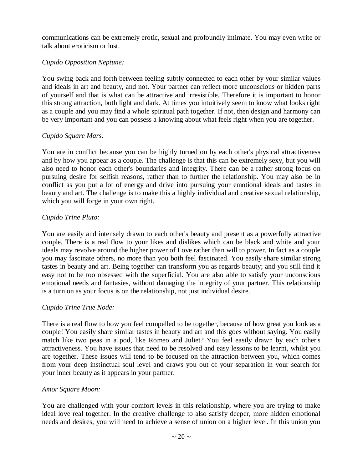communications can be extremely erotic, sexual and profoundly intimate. You may even write or talk about eroticism or lust.

## *Cupido Opposition Neptune:*

You swing back and forth between feeling subtly connected to each other by your similar values and ideals in art and beauty, and not. Your partner can reflect more unconscious or hidden parts of yourself and that is what can be attractive and irresistible. Therefore it is important to honor this strong attraction, both light and dark. At times you intuitively seem to know what looks right as a couple and you may find a whole spiritual path together. If not, then design and harmony can be very important and you can possess a knowing about what feels right when you are together.

# *Cupido Square Mars:*

You are in conflict because you can be highly turned on by each other's physical attractiveness and by how you appear as a couple. The challenge is that this can be extremely sexy, but you will also need to honor each other's boundaries and integrity. There can be a rather strong focus on pursuing desire for selfish reasons, rather than to further the relationship. You may also be in conflict as you put a lot of energy and drive into pursuing your emotional ideals and tastes in beauty and art. The challenge is to make this a highly individual and creative sexual relationship, which you will forge in your own right.

# *Cupido Trine Pluto:*

You are easily and intensely drawn to each other's beauty and present as a powerfully attractive couple. There is a real flow to your likes and dislikes which can be black and white and your ideals may revolve around the higher power of Love rather than will to power. In fact as a couple you may fascinate others, no more than you both feel fascinated. You easily share similar strong tastes in beauty and art. Being together can transform you as regards beauty; and you still find it easy not to be too obsessed with the superficial. You are also able to satisfy your unconscious emotional needs and fantasies, without damaging the integrity of your partner. This relationship is a turn on as your focus is on the relationship, not just individual desire.

## *Cupido Trine True Node:*

There is a real flow to how you feel compelled to be together, because of how great you look as a couple! You easily share similar tastes in beauty and art and this goes without saying. You easily match like two peas in a pod, like Romeo and Juliet? You feel easily drawn by each other's attractiveness. You have issues that need to be resolved and easy lessons to be learnt, whilst you are together. These issues will tend to be focused on the attraction between you, which comes from your deep instinctual soul level and draws you out of your separation in your search for your inner beauty as it appears in your partner.

## *Amor Square Moon:*

You are challenged with your comfort levels in this relationship, where you are trying to make ideal love real together. In the creative challenge to also satisfy deeper, more hidden emotional needs and desires, you will need to achieve a sense of union on a higher level. In this union you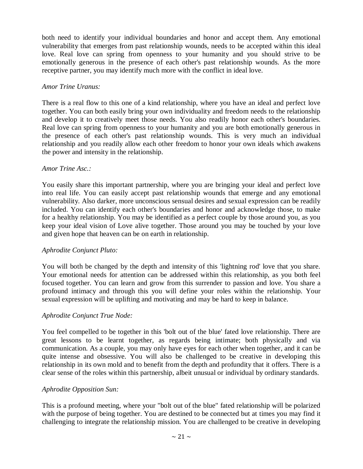both need to identify your individual boundaries and honor and accept them. Any emotional vulnerability that emerges from past relationship wounds, needs to be accepted within this ideal love. Real love can spring from openness to your humanity and you should strive to be emotionally generous in the presence of each other's past relationship wounds. As the more receptive partner, you may identify much more with the conflict in ideal love.

## *Amor Trine Uranus:*

There is a real flow to this one of a kind relationship, where you have an ideal and perfect love together. You can both easily bring your own individuality and freedom needs to the relationship and develop it to creatively meet those needs. You also readily honor each other's boundaries. Real love can spring from openness to your humanity and you are both emotionally generous in the presence of each other's past relationship wounds. This is very much an individual relationship and you readily allow each other freedom to honor your own ideals which awakens the power and intensity in the relationship.

#### *Amor Trine Asc.:*

You easily share this important partnership, where you are bringing your ideal and perfect love into real life. You can easily accept past relationship wounds that emerge and any emotional vulnerability. Also darker, more unconscious sensual desires and sexual expression can be readily included. You can identify each other's boundaries and honor and acknowledge those, to make for a healthy relationship. You may be identified as a perfect couple by those around you, as you keep your ideal vision of Love alive together. Those around you may be touched by your love and given hope that heaven can be on earth in relationship.

## *Aphrodite Conjunct Pluto:*

You will both be changed by the depth and intensity of this 'lightning rod' love that you share. Your emotional needs for attention can be addressed within this relationship, as you both feel focused together. You can learn and grow from this surrender to passion and love. You share a profound intimacy and through this you will define your roles within the relationship. Your sexual expression will be uplifting and motivating and may be hard to keep in balance.

## *Aphrodite Conjunct True Node:*

You feel compelled to be together in this 'bolt out of the blue' fated love relationship. There are great lessons to be learnt together, as regards being intimate; both physically and via communication. As a couple, you may only have eyes for each other when together, and it can be quite intense and obsessive. You will also be challenged to be creative in developing this relationship in its own mold and to benefit from the depth and profundity that it offers. There is a clear sense of the roles within this partnership, albeit unusual or individual by ordinary standards.

## *Aphrodite Opposition Sun:*

This is a profound meeting, where your "bolt out of the blue" fated relationship will be polarized with the purpose of being together. You are destined to be connected but at times you may find it challenging to integrate the relationship mission. You are challenged to be creative in developing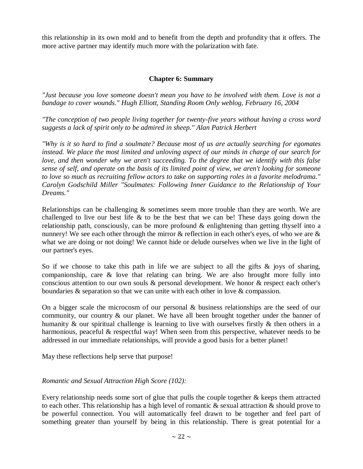this relationship in its own mold and to benefit from the depth and profundity that it offers. The more active partner may identify much more with the polarization with fate.

# **Chapter 6: Summary**

*"Just because you love someone doesn't mean you have to be involved with them. Love is not a bandage to cover wounds." Hugh Elliott, Standing Room Only weblog, February 16, 2004*

*"The conception of two people living together for twenty-five years without having a cross word suggests a lack of spirit only to be admired in sheep." Alan Patrick Herbert*

*"Why is it so hard to find a soulmate? Because most of us are actually searching for egomates instead. We place the most limited and unloving aspect of our minds in charge of our search for love, and then wonder why we aren't succeeding. To the degree that we identify with this false sense of self, and operate on the basis of its limited point of view, we aren't looking for someone to love so much as recruiting fellow actors to take on supporting roles in a favorite melodrama." Carolyn Godschild Miller "Soulmates: Following Inner Guidance to the Relationship of Your Dreams."*

Relationships can be challenging  $\&$  sometimes seem more trouble than they are worth. We are challenged to live our best life & to be the best that we can be! These days going down the relationship path, consciously, can be more profound & enlightening than getting thyself into a nunnery! We see each other through the mirror  $\&$  reflection in each other's eyes, of who we are  $\&$ what we are doing or not doing! We cannot hide or delude ourselves when we live in the light of our partner's eyes.

So if we choose to take this path in life we are subject to all the gifts  $\&$  joys of sharing, companionship, care & love that relating can bring. We are also brought more fully into conscious attention to our own souls & personal development. We honor & respect each other's boundaries & separation so that we can unite with each other in love & compassion.

On a bigger scale the microcosm of our personal & business relationships are the seed of our community, our country & our planet. We have all been brought together under the banner of humanity & our spiritual challenge is learning to live with ourselves firstly & then others in a harmonious, peaceful & respectful way! When seen from this perspective, whatever needs to be addressed in our immediate relationships, will provide a good basis for a better planet!

May these reflections help serve that purpose!

## *Romantic and Sexual Attraction High Score (102):*

Every relationship needs some sort of glue that pulls the couple together & keeps them attracted to each other. This relationship has a high level of romantic & sexual attraction & should prove to be powerful connection. You will automatically feel drawn to be together and feel part of something greater than yourself by being in this relationship. There is great potential for a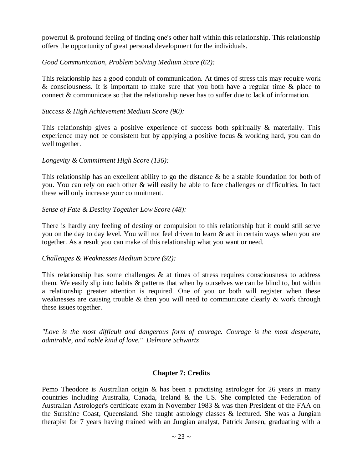powerful & profound feeling of finding one's other half within this relationship. This relationship offers the opportunity of great personal development for the individuals.

## *Good Communication, Problem Solving Medium Score (62):*

This relationship has a good conduit of communication. At times of stress this may require work & consciousness. It is important to make sure that you both have a regular time & place to connect & communicate so that the relationship never has to suffer due to lack of information.

## *Success & High Achievement Medium Score (90):*

This relationship gives a positive experience of success both spiritually & materially. This experience may not be consistent but by applying a positive focus & working hard, you can do well together.

#### *Longevity & Commitment High Score (136):*

This relationship has an excellent ability to go the distance & be a stable foundation for both of you. You can rely on each other & will easily be able to face challenges or difficulties. In fact these will only increase your commitment.

#### *Sense of Fate & Destiny Together Low Score (48):*

There is hardly any feeling of destiny or compulsion to this relationship but it could still serve you on the day to day level. You will not feel driven to learn & act in certain ways when you are together. As a result you can make of this relationship what you want or need.

#### *Challenges & Weaknesses Medium Score (92):*

This relationship has some challenges  $\&$  at times of stress requires consciousness to address them. We easily slip into habits & patterns that when by ourselves we can be blind to, but within a relationship greater attention is required. One of you or both will register when these weaknesses are causing trouble & then you will need to communicate clearly & work through these issues together.

*"Love is the most difficult and dangerous form of courage. Courage is the most desperate, admirable, and noble kind of love." Delmore Schwartz*

#### **Chapter 7: Credits**

Pemo Theodore is Australian origin & has been a practising astrologer for 26 years in many countries including Australia, Canada, Ireland & the US. She completed the Federation of Australian Astrologer's certificate exam in November 1983 & was then President of the FAA on the Sunshine Coast, Queensland. She taught astrology classes & lectured. She was a Jungian therapist for 7 years having trained with an Jungian analyst, Patrick Jansen, graduating with a